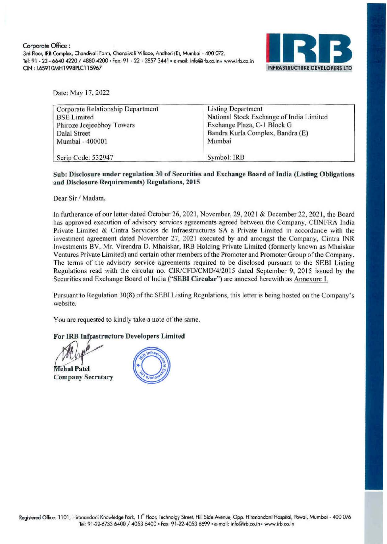Corporate Office : 3rd Floor, IRB Complex, Chandivali Farm, Chandivoli Village, Andheri (E), Mumbai - 400 072. Tel: 91 - 22 - 6640 4220 / 4880 4200 - Fax: 91 - 22 - 2857 3441 - e-mail: info@irb.co.in - www.irb.co.in CIN: L65910MH1998PLC115967 INFRASTRUCTURE DEVELOPERS LT



Date: May 17, 2022

| Corporate Relationship Department | <b>Listing Department</b>                |
|-----------------------------------|------------------------------------------|
| <b>BSE</b> Limited                | National Stock Exchange of India Limited |
| Phiroze Jeejeebhoy Towers         | Exchange Plaza, C-1 Block G              |
| Dalal Street                      | Bandra Kurla Complex, Bandra (E)         |
| Mumbai - 400001                   | Mumbai                                   |
| Scrip Code: 532947                | Symbol: IRB                              |

## Sub: Disclosure under regulation 30 of Securities and Exchange Board of India (Listing Obligations and Disclosure Requirements) Regulations, 2015

Dear Sir / Madam,

In furtherance of our letter dated October 26, 2021, November, 29, 2021 & December 22, 2021 , the Board has approved execution of advisory services agreements agreed between the Company, CIINFRA India Private Limited & Cintra Servicios de Infraestructuras SA a Private Limited in accordance with the investment agreement dated November 27, 2021 executed by and amongst the Company, Cintra INR Investments BV, Mr. Virendra D. Mhaiskar, IRB Holding Private Limited (formerly known as Mhaiskar Ventures Private Limited) and certain other members of the Promoter and Promoter Group of the Company. The terms of the advisory service agreements required to be disclosed pursuant to the SEBI Listing Regulations read with the circular no. CIR/CFD/CMD/4/2015 dated September 9, 2015 issued by the Securities and Exchange Board of India ("SEBI Circular") are annexed herewith as Annexure I.

Pursuant to Regulation 30(8) of the SEBI Listing Regulations, this letter is being hosted on the Company's website.

You are requested to kindly take a note of the same.

For IRB Infrastructure Developers Limited

r<br>1<br>0 **Mehul Patel** Company Secretary

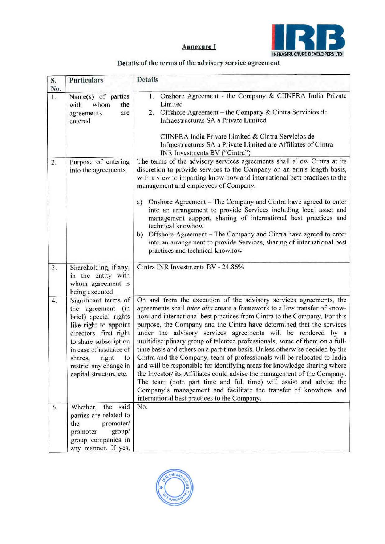

## Details of the terms of the advisory service agreement

| S.<br>No.        | <b>Particulars</b>                                                                                                                                                                                                                                        | <b>Details</b>                                                                                                                                                                                                                                                                                                                                                                                                                                                                                                                                                                                                                                                                                                                                                                                                                                                                                                                                                   |
|------------------|-----------------------------------------------------------------------------------------------------------------------------------------------------------------------------------------------------------------------------------------------------------|------------------------------------------------------------------------------------------------------------------------------------------------------------------------------------------------------------------------------------------------------------------------------------------------------------------------------------------------------------------------------------------------------------------------------------------------------------------------------------------------------------------------------------------------------------------------------------------------------------------------------------------------------------------------------------------------------------------------------------------------------------------------------------------------------------------------------------------------------------------------------------------------------------------------------------------------------------------|
| 1.               | Name(s) of parties<br>whom<br>the<br>with<br>agreements<br>are<br>entered                                                                                                                                                                                 | 1. Onshore Agreement - the Company & CIINFRA India Private<br>Limited<br>2. Offshore Agreement - the Company & Cintra Servicios de<br>Infraestructuras SA a Private Limited<br>CIINFRA India Private Limited & Cintra Servicios de<br>Infraestructuras SA a Private Limited are Affiliates of Cintra<br>INR Investments BV ("Cintra")                                                                                                                                                                                                                                                                                                                                                                                                                                                                                                                                                                                                                            |
| 2.               | Purpose of entering<br>into the agreements                                                                                                                                                                                                                | The terms of the advisory services agreements shall allow Cintra at its<br>discretion to provide services to the Company on an arm's length basis,<br>with a view to imparting know-how and international best practices to the<br>management and employees of Company.<br>Onshore Agreement – The Company and Cintra have agreed to enter<br>a)<br>into an arrangement to provide Services including local asset and<br>management support, sharing of international best practices and<br>technical knowhow<br>Offshore Agreement – The Company and Cintra have agreed to enter<br>b)<br>into an arrangement to provide Services, sharing of international best<br>practices and technical knowhow                                                                                                                                                                                                                                                             |
| 3.               | Shareholding, if any,<br>in the entity with<br>whom agreement is<br>being executed                                                                                                                                                                        | Cintra INR Investments BV - 24.86%                                                                                                                                                                                                                                                                                                                                                                                                                                                                                                                                                                                                                                                                                                                                                                                                                                                                                                                               |
| $\overline{4}$ . | Significant terms of<br>the agreement<br>(in<br>brief) special rights<br>like right to appoint<br>directors, first right<br>to share subscription<br>in case of issuance of<br>shares,<br>right<br>to<br>restrict any change in<br>capital structure etc. | On and from the execution of the advisory services agreements, the<br>agreements shall inter alia create a framework to allow transfer of know-<br>how and international best practices from Cintra to the Company. For this<br>purpose, the Company and the Cintra have determined that the services<br>under the advisory services agreements will be rendered by a<br>multidisciplinary group of talented professionals, some of them on a full-<br>time basis and others on a part-time basis. Unless otherwise decided by the<br>Cintra and the Company, team of professionals will be relocated to India<br>and will be responsible for identifying areas for knowledge sharing where<br>the Investor/ its Affiliates could advise the management of the Company.<br>The team (both part time and full time) will assist and advise the<br>Company's management and facilitate the transfer of knowhow and<br>international best practices to the Company. |
| 5.               | Whether, the said<br>parties are related to<br>the<br>promoter/<br>group/<br>promoter<br>group companies in<br>any manner. If yes,                                                                                                                        | No.                                                                                                                                                                                                                                                                                                                                                                                                                                                                                                                                                                                                                                                                                                                                                                                                                                                                                                                                                              |